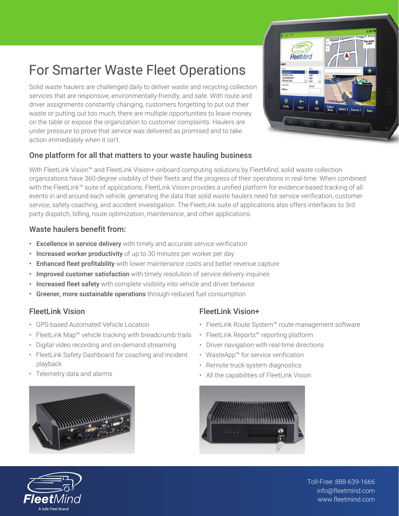# For Smarter Waste Fleet Operations

Solid waste haulers are challenged daily to deliver waste and recycling collection services that are responsive, environmentally-friendly, and safe. With route and driver assignments constantly changing, customers forgetting to put out their waste or putting out too much, there are multiple opportunities to leave money on the table or expose the organization to customer complaints. Haulers are under pressure to prove that service was delivered as promised and to take action immediately when it isn't.



### One platform for all that matters to your waste hauling business

With FleetLink Vision™ and FleetLink Vision+ onboard computing solutions by FleetMind, solid waste collection organizations have 360-degree visibility of their fleets and the progress of their operations in real-time. When combined with the FleetLink™ suite of applications, FleetLink Vision provides a unified platform for evidence-based tracking of all events in and around each vehicle, generating the data that solid waste haulers need for service verification, customer service, safety coaching, and accident investigation. The FleetLink suite of applications also offers interfaces to 3rd party dispatch, billing, route optimization, maintenance, and other applications.

#### Waste haulers benefit from:

- Excellence in service delivery with timely and accurate service verification
- Increased worker productivity of up to 30 minutes per worker per day
- Enhanced fleet profitability with lower maintenance costs and better revenue capture
- Improved customer satisfaction with timely resolution of service delivery inquiries
- Increased fleet safety with complete visibility into vehicle and driver behavior
- Greener, more sustainable operations through reduced fuel consumption

#### FleetLink Vision

- GPS-based Automated Vehicle Location
- FleetLink Map™ vehicle tracking with breadcrumb trails
- Digital video recording and on-demand streaming
- FleetLink Safety Dashboard for coaching and incident playback
- Telemetry data and alarms



# FleetLink Vision+

- FleetLink Route System™ route management software
- FleetLink Reports™ reporting platform
- Driver navigation with real-time directions
- WasteApp™ for service verification
- Remote truck system diagnostics
- All the capabilities of FleetLink Vision





Toll-Free: 888-639-1666 info@fleetmind.com www.fleetmind.com